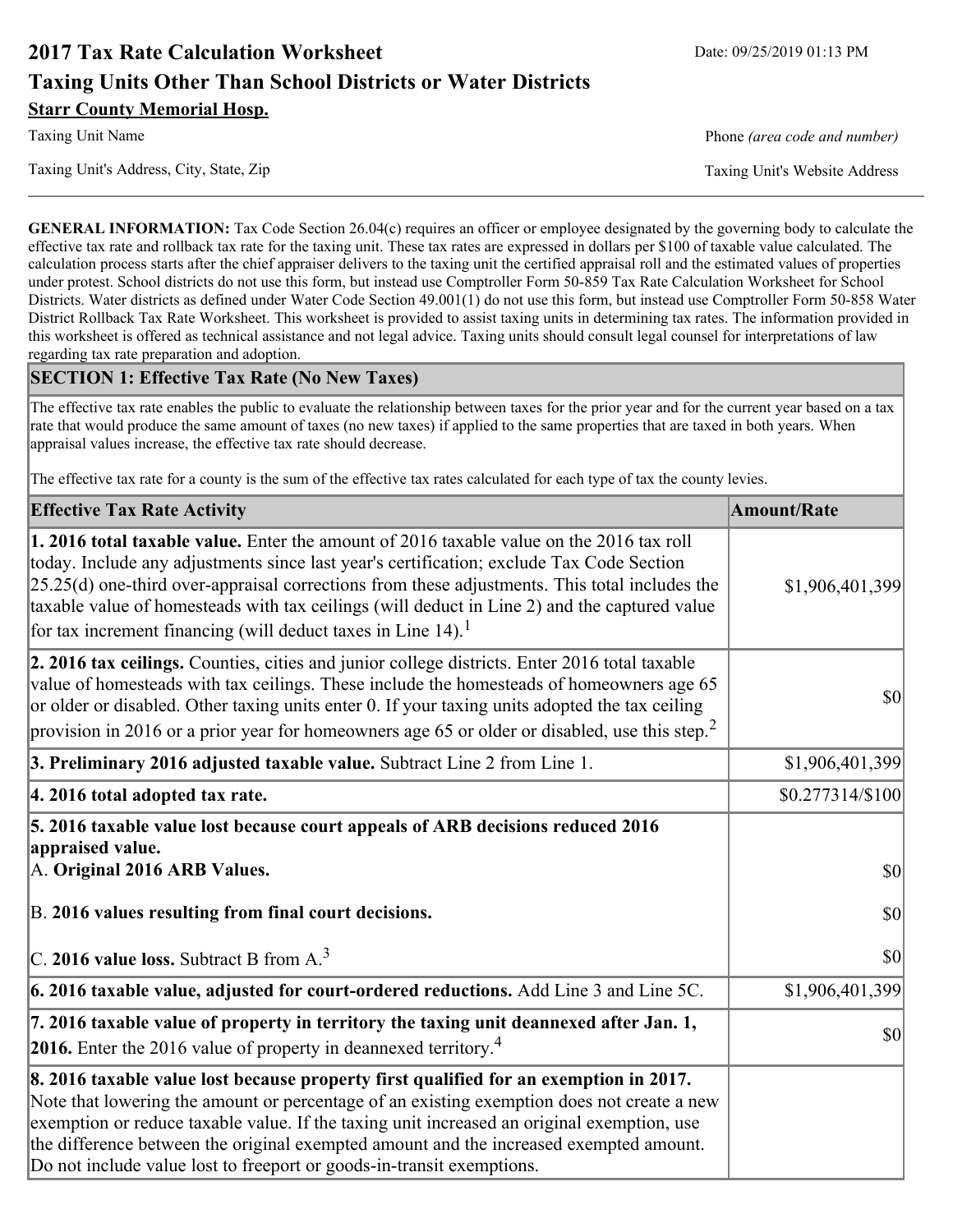# **2017 Tax Rate Calculation Worksheet** Date: 09/25/2019 01:13 PM **Taxing Units Other Than School Districts or Water Districts Starr County Memorial Hosp.**

Taxing Unit Name **Phone** *(area code and number)* Phone *(area code and number)* 

Taxing Unit's Address, City, State, Zip Taxing Unit's Website Address

**GENERAL INFORMATION:** Tax Code Section 26.04(c) requires an officer or employee designated by the governing body to calculate the effective tax rate and rollback tax rate for the taxing unit. These tax rates are expressed in dollars per \$100 of taxable value calculated. The calculation process starts after the chief appraiser delivers to the taxing unit the certified appraisal roll and the estimated values of properties under protest. School districts do not use this form, but instead use Comptroller Form 50-859 Tax Rate Calculation Worksheet for School Districts. Water districts as defined under Water Code Section 49.001(1) do not use this form, but instead use Comptroller Form 50-858 Water District Rollback Tax Rate Worksheet. This worksheet is provided to assist taxing units in determining tax rates. The information provided in this worksheet is offered as technical assistance and not legal advice. Taxing units should consult legal counsel for interpretations of law regarding tax rate preparation and adoption.

### **SECTION 1: Effective Tax Rate (No New Taxes)**

The effective tax rate enables the public to evaluate the relationship between taxes for the prior year and for the current year based on a tax rate that would produce the same amount of taxes (no new taxes) if applied to the same properties that are taxed in both years. When appraisal values increase, the effective tax rate should decrease.

The effective tax rate for a county is the sum of the effective tax rates calculated for each type of tax the county levies.

| <b>Effective Tax Rate Activity</b>                                                                                                                                                                                                                                                                                                                                                                                                                                             | <b>Amount/Rate</b> |
|--------------------------------------------------------------------------------------------------------------------------------------------------------------------------------------------------------------------------------------------------------------------------------------------------------------------------------------------------------------------------------------------------------------------------------------------------------------------------------|--------------------|
| <b>1. 2016 total taxable value.</b> Enter the amount of 2016 taxable value on the 2016 tax roll<br>today. Include any adjustments since last year's certification; exclude Tax Code Section<br>$[25.25(d)$ one-third over-appraisal corrections from these adjustments. This total includes the<br>taxable value of homesteads with tax ceilings (will deduct in Line 2) and the captured value<br>for tax increment financing (will deduct taxes in Line $14$ ). <sup>1</sup> | \$1,906,401,399    |
| 2. 2016 tax ceilings. Counties, cities and junior college districts. Enter 2016 total taxable<br>value of homesteads with tax ceilings. These include the homesteads of homeowners age 65<br>or older or disabled. Other taxing units enter 0. If your taxing units adopted the tax ceiling<br>provision in 2016 or a prior year for homeowners age 65 or older or disabled, use this step. <sup>2</sup>                                                                       | 30                 |
| 3. Preliminary 2016 adjusted taxable value. Subtract Line 2 from Line 1.                                                                                                                                                                                                                                                                                                                                                                                                       | \$1,906,401,399    |
| 4. 2016 total adopted tax rate.                                                                                                                                                                                                                                                                                                                                                                                                                                                | $$0.277314/\$100$  |
| 5. 2016 taxable value lost because court appeals of ARB decisions reduced 2016<br>appraised value.<br>A. Original 2016 ARB Values.                                                                                                                                                                                                                                                                                                                                             | $ 10\rangle$       |
| B. 2016 values resulting from final court decisions.                                                                                                                                                                                                                                                                                                                                                                                                                           | 30                 |
| C. 2016 value loss. Subtract B from $A3$                                                                                                                                                                                                                                                                                                                                                                                                                                       | 30                 |
| 6. 2016 taxable value, adjusted for court-ordered reductions. Add Line 3 and Line 5C.                                                                                                                                                                                                                                                                                                                                                                                          | \$1,906,401,399    |
| 7. 2016 taxable value of property in territory the taxing unit deannexed after Jan. 1,<br><b>2016.</b> Enter the 2016 value of property in deannexed territory. <sup>4</sup>                                                                                                                                                                                                                                                                                                   | $ 10\rangle$       |
| 8. 2016 taxable value lost because property first qualified for an exemption in 2017.<br>Note that lowering the amount or percentage of an existing exemption does not create a new<br>exemption or reduce taxable value. If the taxing unit increased an original exemption, use<br>the difference between the original exempted amount and the increased exempted amount.<br>Do not include value lost to freeport or goods-in-transit exemptions.                           |                    |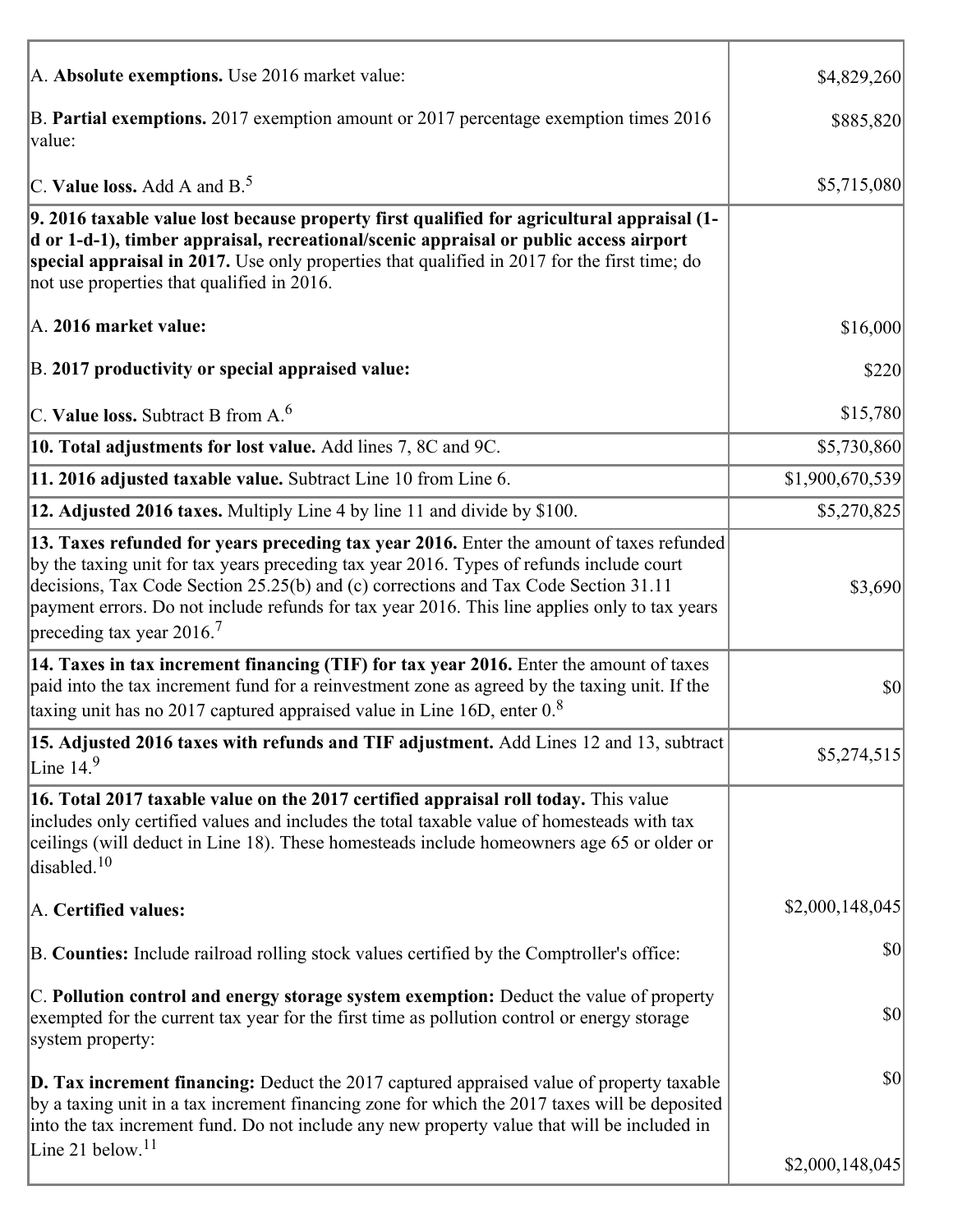| A. Absolute exemptions. Use 2016 market value:                                                                                                                                                                                                                                                                                                                                                                         | \$4,829,260     |
|------------------------------------------------------------------------------------------------------------------------------------------------------------------------------------------------------------------------------------------------------------------------------------------------------------------------------------------------------------------------------------------------------------------------|-----------------|
| B. Partial exemptions. 2017 exemption amount or 2017 percentage exemption times 2016<br>value:                                                                                                                                                                                                                                                                                                                         | \$885,820       |
| C. Value loss. Add A and $B^5$ .                                                                                                                                                                                                                                                                                                                                                                                       | \$5,715,080     |
| 9. 2016 taxable value lost because property first qualified for agricultural appraisal (1-<br>d or 1-d-1), timber appraisal, recreational/scenic appraisal or public access airport<br>special appraisal in 2017. Use only properties that qualified in 2017 for the first time; do<br>not use properties that qualified in 2016.                                                                                      |                 |
| A. 2016 market value:                                                                                                                                                                                                                                                                                                                                                                                                  | \$16,000        |
| B. 2017 productivity or special appraised value:                                                                                                                                                                                                                                                                                                                                                                       | \$220           |
| C. Value loss. Subtract B from $A6$                                                                                                                                                                                                                                                                                                                                                                                    | \$15,780        |
| 10. Total adjustments for lost value. Add lines 7, 8C and 9C.                                                                                                                                                                                                                                                                                                                                                          | \$5,730,860     |
| 11. 2016 adjusted taxable value. Subtract Line 10 from Line 6.                                                                                                                                                                                                                                                                                                                                                         | \$1,900,670,539 |
| 12. Adjusted 2016 taxes. Multiply Line 4 by line 11 and divide by \$100.                                                                                                                                                                                                                                                                                                                                               | \$5,270,825     |
| 13. Taxes refunded for years preceding tax year 2016. Enter the amount of taxes refunded<br>by the taxing unit for tax years preceding tax year 2016. Types of refunds include court<br>decisions, Tax Code Section 25.25(b) and (c) corrections and Tax Code Section 31.11<br>payment errors. Do not include refunds for tax year 2016. This line applies only to tax years<br>preceding tax year $2016$ <sup>7</sup> | \$3,690         |
| 14. Taxes in tax increment financing (TIF) for tax year 2016. Enter the amount of taxes<br>paid into the tax increment fund for a reinvestment zone as agreed by the taxing unit. If the<br>taxing unit has no 2017 captured appraised value in Line 16D, enter $08$                                                                                                                                                   | \$0             |
| 15. Adjusted 2016 taxes with refunds and TIF adjustment. Add Lines 12 and 13, subtract<br>Line $149$                                                                                                                                                                                                                                                                                                                   | \$5,274,515     |
| 16. Total 2017 taxable value on the 2017 certified appraisal roll today. This value<br>includes only certified values and includes the total taxable value of homesteads with tax<br>ceilings (will deduct in Line 18). These homesteads include homeowners age 65 or older or<br>disabled. <sup>10</sup>                                                                                                              |                 |
| A. Certified values:                                                                                                                                                                                                                                                                                                                                                                                                   | \$2,000,148,045 |
| B. Counties: Include railroad rolling stock values certified by the Comptroller's office:                                                                                                                                                                                                                                                                                                                              | \$0             |
| C. Pollution control and energy storage system exemption: Deduct the value of property<br>exempted for the current tax year for the first time as pollution control or energy storage<br>system property:                                                                                                                                                                                                              | \$0             |
| <b>D. Tax increment financing:</b> Deduct the 2017 captured appraised value of property taxable<br>by a taxing unit in a tax increment financing zone for which the 2017 taxes will be deposited<br>into the tax increment fund. Do not include any new property value that will be included in                                                                                                                        | \$0             |
| Line 21 below. <sup>11</sup>                                                                                                                                                                                                                                                                                                                                                                                           | \$2,000,148,045 |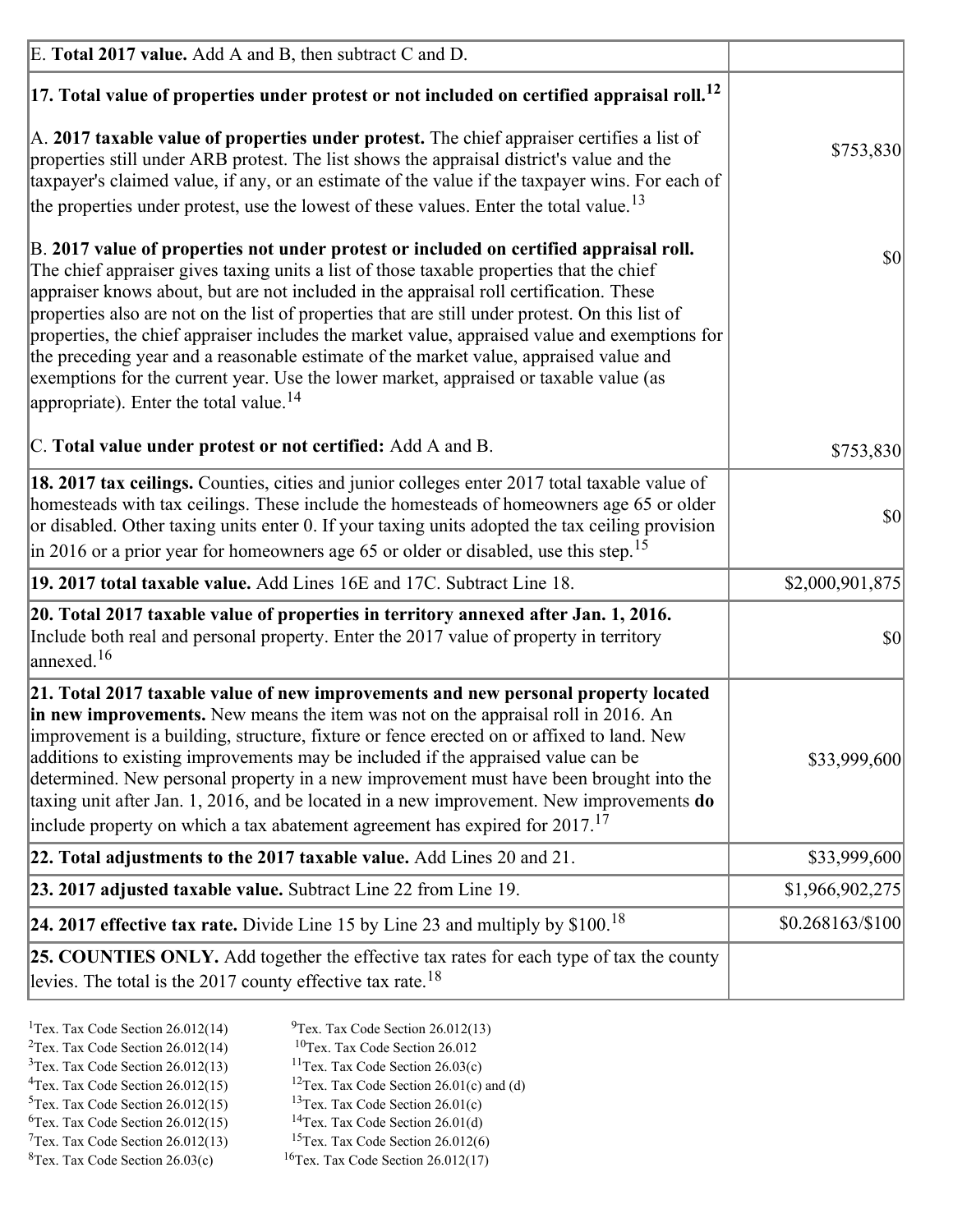| E. Total 2017 value. Add A and B, then subtract C and D.                                                                                                                                                                                                                                                                                                                                                                                                                                                                                                                                                                                                                                                                 |                   |
|--------------------------------------------------------------------------------------------------------------------------------------------------------------------------------------------------------------------------------------------------------------------------------------------------------------------------------------------------------------------------------------------------------------------------------------------------------------------------------------------------------------------------------------------------------------------------------------------------------------------------------------------------------------------------------------------------------------------------|-------------------|
| $ 17$ . Total value of properties under protest or not included on certified appraisal roll. <sup>12</sup>                                                                                                                                                                                                                                                                                                                                                                                                                                                                                                                                                                                                               |                   |
| A. 2017 taxable value of properties under protest. The chief appraiser certifies a list of<br>properties still under ARB protest. The list shows the appraisal district's value and the<br>taxpayer's claimed value, if any, or an estimate of the value if the taxpayer wins. For each of<br>the properties under protest, use the lowest of these values. Enter the total value. <sup>13</sup>                                                                                                                                                                                                                                                                                                                         | \$753,830         |
| B. 2017 value of properties not under protest or included on certified appraisal roll.<br>The chief appraiser gives taxing units a list of those taxable properties that the chief<br>appraiser knows about, but are not included in the appraisal roll certification. These<br>properties also are not on the list of properties that are still under protest. On this list of<br>properties, the chief appraiser includes the market value, appraised value and exemptions for<br>the preceding year and a reasonable estimate of the market value, appraised value and<br>exemptions for the current year. Use the lower market, appraised or taxable value (as<br>appropriate). Enter the total value. <sup>14</sup> | 30                |
| C. Total value under protest or not certified: Add A and B.                                                                                                                                                                                                                                                                                                                                                                                                                                                                                                                                                                                                                                                              | \$753,830         |
| 18. 2017 tax ceilings. Counties, cities and junior colleges enter 2017 total taxable value of<br>homesteads with tax ceilings. These include the homesteads of homeowners age 65 or older<br>or disabled. Other taxing units enter 0. If your taxing units adopted the tax ceiling provision<br>$\vert$ in 2016 or a prior year for homeowners age 65 or older or disabled, use this step. <sup>15</sup>                                                                                                                                                                                                                                                                                                                 | 30                |
| 19. 2017 total taxable value. Add Lines 16E and 17C. Subtract Line 18.                                                                                                                                                                                                                                                                                                                                                                                                                                                                                                                                                                                                                                                   | \$2,000,901,875   |
| 20. Total 2017 taxable value of properties in territory annexed after Jan. 1, 2016.<br>Include both real and personal property. Enter the 2017 value of property in territory<br>$\vert$ annexed. <sup>16</sup>                                                                                                                                                                                                                                                                                                                                                                                                                                                                                                          | $ 10\rangle$      |
| 21. Total 2017 taxable value of new improvements and new personal property located<br>in new improvements. New means the item was not on the appraisal roll in 2016. An<br>improvement is a building, structure, fixture or fence erected on or affixed to land. New<br>additions to existing improvements may be included if the appraised value can be<br>determined. New personal property in a new improvement must have been brought into the<br>taxing unit after Jan. 1, 2016, and be located in a new improvement. New improvements do<br>include property on which a tax abatement agreement has expired for $2017$ . <sup>17</sup>                                                                             | \$33,999,600      |
| 22. Total adjustments to the 2017 taxable value. Add Lines 20 and 21.                                                                                                                                                                                                                                                                                                                                                                                                                                                                                                                                                                                                                                                    | \$33,999,600      |
| 23. 2017 adjusted taxable value. Subtract Line 22 from Line 19.                                                                                                                                                                                                                                                                                                                                                                                                                                                                                                                                                                                                                                                          | \$1,966,902,275   |
| 24. 2017 effective tax rate. Divide Line 15 by Line 23 and multiply by $$100$ . <sup>18</sup>                                                                                                                                                                                                                                                                                                                                                                                                                                                                                                                                                                                                                            | $$0.268163/\$100$ |
| 25. COUNTIES ONLY. Add together the effective tax rates for each type of tax the county<br>levies. The total is the 2017 county effective tax rate. <sup>18</sup>                                                                                                                                                                                                                                                                                                                                                                                                                                                                                                                                                        |                   |

- <sup>2</sup>Tex. Tax Code Section 26.012(14)
- <sup>1</sup>Tex. Tax Code Section 26.012(14) <sup>9</sup>Tex. Tax Code Section 26.012(13) <sup>9</sup>Tex. Tax Code Section 26.012
	-
- <sup>3</sup>Tex. Tax Code Section 26.012(13) <sup>11</sup>Tex. Tax Code Section 26.03(c) <sup>4</sup>Tex. Tax Code Section 26.01(c) and <sup>12</sup>Tex. Tax Code Section 26.01(c) and <sup>12</sup>Tex. Tax Code Section 26.01(c) and <sup>12</sup>Tex. Tax Code Section 26.01(c) <sup>12</sup>Tex. Tax Code Section 26.01(c) and (d)
- 
- <sup>5</sup>Tex. Tax Code Section 26.012(15) <sup>13</sup>Tex. Tax Code Section 26.01(c) <sup>6</sup>Tex. Tax Code Section 26.01(d)
- 
- $7$ Tex. Tax Code Section 26.012(13)
- ${}^{8}$ Tex. Tax Code Section 26.03(c)  ${}^{16}$ Tex. Tax Code Section 26.012(17)
- <sup>6</sup>Tex. Tax Code Section 26.012(15) <sup>14</sup>Tex. Tax Code Section 26.01(d)<sup>7</sup>Tex. Tax Code Section 26.012(6)
	-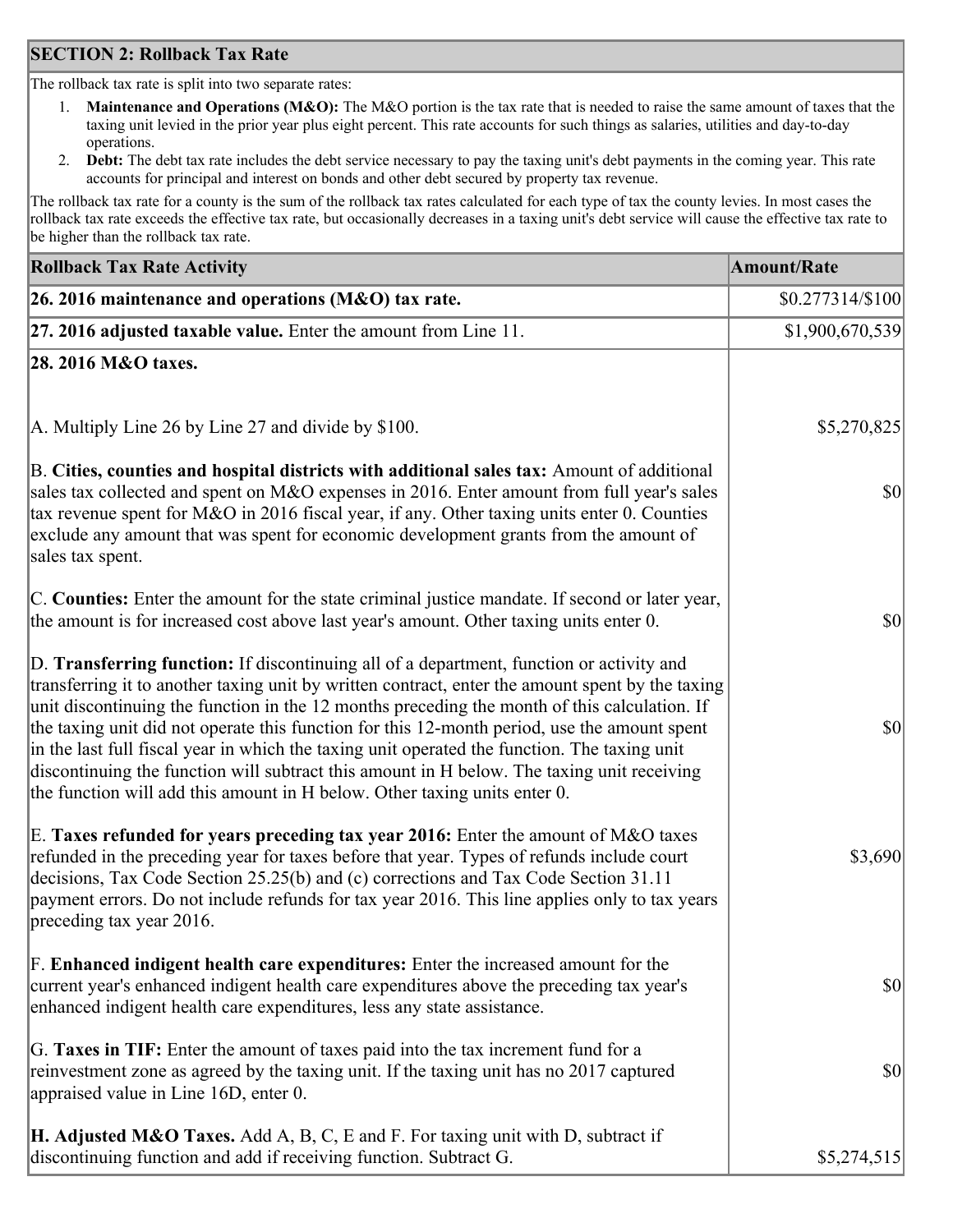## **SECTION 2: Rollback Tax Rate**

The rollback tax rate is split into two separate rates:

- 1. **Maintenance and Operations (M&O):** The M&O portion is the tax rate that is needed to raise the same amount of taxes that the taxing unit levied in the prior year plus eight percent. This rate accounts for such things as salaries, utilities and day-to-day operations.
- 2. **Debt:** The debt tax rate includes the debt service necessary to pay the taxing unit's debt payments in the coming year. This rate accounts for principal and interest on bonds and other debt secured by property tax revenue.

The rollback tax rate for a county is the sum of the rollback tax rates calculated for each type of tax the county levies. In most cases the rollback tax rate exceeds the effective tax rate, but occasionally decreases in a taxing unit's debt service will cause the effective tax rate to be higher than the rollback tax rate.

| <b>Rollback Tax Rate Activity</b>                                                                                                                                                                                                                                                                                                                                                                                                                                                                                                                                                                                                                                       | <b>Amount/Rate</b> |
|-------------------------------------------------------------------------------------------------------------------------------------------------------------------------------------------------------------------------------------------------------------------------------------------------------------------------------------------------------------------------------------------------------------------------------------------------------------------------------------------------------------------------------------------------------------------------------------------------------------------------------------------------------------------------|--------------------|
| 26. 2016 maintenance and operations (M&O) tax rate.                                                                                                                                                                                                                                                                                                                                                                                                                                                                                                                                                                                                                     | $$0.277314/\$100$  |
| $ 27.2016$ adjusted taxable value. Enter the amount from Line 11.                                                                                                                                                                                                                                                                                                                                                                                                                                                                                                                                                                                                       | \$1,900,670,539    |
| 28. 2016 M&O taxes.                                                                                                                                                                                                                                                                                                                                                                                                                                                                                                                                                                                                                                                     |                    |
| A. Multiply Line 26 by Line 27 and divide by \$100.                                                                                                                                                                                                                                                                                                                                                                                                                                                                                                                                                                                                                     | \$5,270,825        |
| B. Cities, counties and hospital districts with additional sales tax: Amount of additional<br>sales tax collected and spent on M&O expenses in 2016. Enter amount from full year's sales<br>tax revenue spent for M&O in 2016 fiscal year, if any. Other taxing units enter 0. Counties<br>exclude any amount that was spent for economic development grants from the amount of<br>sales tax spent.                                                                                                                                                                                                                                                                     | 30                 |
| C. Counties: Enter the amount for the state criminal justice mandate. If second or later year,<br>the amount is for increased cost above last year's amount. Other taxing units enter 0.                                                                                                                                                                                                                                                                                                                                                                                                                                                                                | 30                 |
| D. Transferring function: If discontinuing all of a department, function or activity and<br>transferring it to another taxing unit by written contract, enter the amount spent by the taxing<br>unit discontinuing the function in the 12 months preceding the month of this calculation. If<br>the taxing unit did not operate this function for this 12-month period, use the amount spent<br>in the last full fiscal year in which the taxing unit operated the function. The taxing unit<br>discontinuing the function will subtract this amount in H below. The taxing unit receiving<br>the function will add this amount in H below. Other taxing units enter 0. | \$0                |
| E. Taxes refunded for years preceding tax year 2016: Enter the amount of M&O taxes<br>refunded in the preceding year for taxes before that year. Types of refunds include court<br>decisions, Tax Code Section 25.25(b) and (c) corrections and Tax Code Section 31.11<br>payment errors. Do not include refunds for tax year 2016. This line applies only to tax years<br>preceding tax year 2016.                                                                                                                                                                                                                                                                     | \$3,690            |
| F. Enhanced indigent health care expenditures: Enter the increased amount for the<br>current year's enhanced indigent health care expenditures above the preceding tax year's<br>enhanced indigent health care expenditures, less any state assistance.                                                                                                                                                                                                                                                                                                                                                                                                                 | $ 10\rangle$       |
| G. Taxes in TIF: Enter the amount of taxes paid into the tax increment fund for a<br>reinvestment zone as agreed by the taxing unit. If the taxing unit has no 2017 captured<br>appraised value in Line 16D, enter 0.                                                                                                                                                                                                                                                                                                                                                                                                                                                   | $ 10\rangle$       |
| <b>H. Adjusted M&amp;O Taxes.</b> Add A, B, C, E and F. For taxing unit with D, subtract if<br>discontinuing function and add if receiving function. Subtract G.                                                                                                                                                                                                                                                                                                                                                                                                                                                                                                        | \$5,274,515        |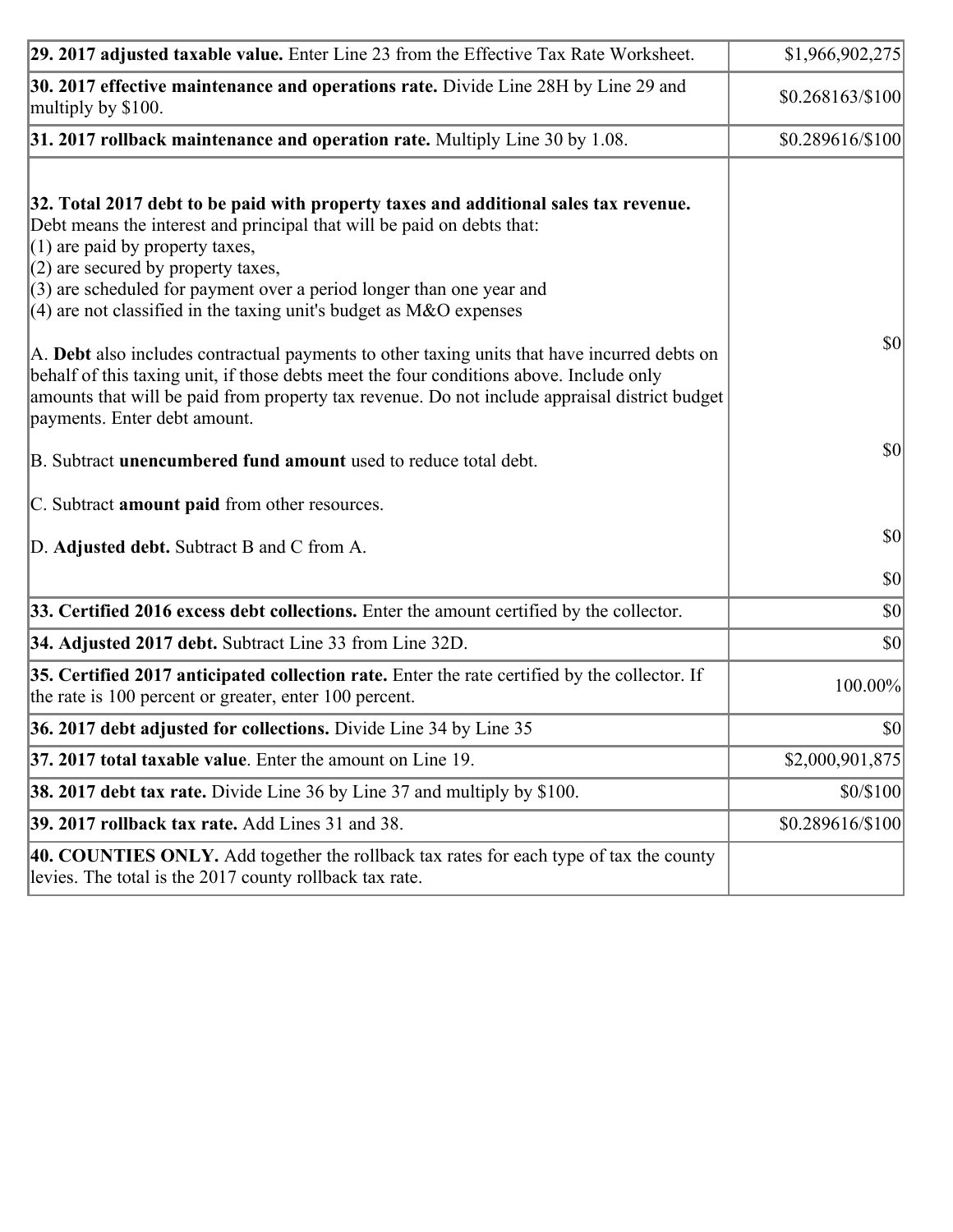| 29. 2017 adjusted taxable value. Enter Line 23 from the Effective Tax Rate Worksheet.                                                                                                                                                                                                                                                                                                                                                                                                                                                                                                    | \$1,966,902,275  |
|------------------------------------------------------------------------------------------------------------------------------------------------------------------------------------------------------------------------------------------------------------------------------------------------------------------------------------------------------------------------------------------------------------------------------------------------------------------------------------------------------------------------------------------------------------------------------------------|------------------|
| 30. 2017 effective maintenance and operations rate. Divide Line 28H by Line 29 and<br>multiply by \$100.                                                                                                                                                                                                                                                                                                                                                                                                                                                                                 | \$0.268163/\$100 |
| $31.2017$ rollback maintenance and operation rate. Multiply Line 30 by 1.08.                                                                                                                                                                                                                                                                                                                                                                                                                                                                                                             | \$0.289616/\$100 |
| 32. Total 2017 debt to be paid with property taxes and additional sales tax revenue.<br>Debt means the interest and principal that will be paid on debts that:<br>$(1)$ are paid by property taxes,<br>$(2)$ are secured by property taxes,<br>$(3)$ are scheduled for payment over a period longer than one year and<br>(4) are not classified in the taxing unit's budget as $M&O$ expenses<br>A. Debt also includes contractual payments to other taxing units that have incurred debts on<br>behalf of this taxing unit, if those debts meet the four conditions above. Include only | $ 10\rangle$     |
| amounts that will be paid from property tax revenue. Do not include appraisal district budget<br>payments. Enter debt amount.                                                                                                                                                                                                                                                                                                                                                                                                                                                            |                  |
| B. Subtract unencumbered fund amount used to reduce total debt.                                                                                                                                                                                                                                                                                                                                                                                                                                                                                                                          | \$0              |
| C. Subtract amount paid from other resources.                                                                                                                                                                                                                                                                                                                                                                                                                                                                                                                                            |                  |
| D. Adjusted debt. Subtract B and C from A.                                                                                                                                                                                                                                                                                                                                                                                                                                                                                                                                               | $ 10\rangle$     |
|                                                                                                                                                                                                                                                                                                                                                                                                                                                                                                                                                                                          | $ 10\rangle$     |
| 33. Certified 2016 excess debt collections. Enter the amount certified by the collector.                                                                                                                                                                                                                                                                                                                                                                                                                                                                                                 | $ 10\rangle$     |
| 34. Adjusted 2017 debt. Subtract Line 33 from Line 32D.                                                                                                                                                                                                                                                                                                                                                                                                                                                                                                                                  | \$0              |
| 35. Certified 2017 anticipated collection rate. Enter the rate certified by the collector. If<br>the rate is 100 percent or greater, enter 100 percent.                                                                                                                                                                                                                                                                                                                                                                                                                                  | 100.00%          |
| 36. 2017 debt adjusted for collections. Divide Line 34 by Line 35                                                                                                                                                                                                                                                                                                                                                                                                                                                                                                                        | 30               |
| 37. 2017 total taxable value. Enter the amount on Line 19.                                                                                                                                                                                                                                                                                                                                                                                                                                                                                                                               | \$2,000,901,875  |
| <b>38. 2017 debt tax rate.</b> Divide Line 36 by Line 37 and multiply by \$100.                                                                                                                                                                                                                                                                                                                                                                                                                                                                                                          | \$0/\$100        |
| 39. 2017 rollback tax rate. Add Lines 31 and 38.                                                                                                                                                                                                                                                                                                                                                                                                                                                                                                                                         | \$0.289616/\$100 |
| 40. COUNTIES ONLY. Add together the rollback tax rates for each type of tax the county<br>levies. The total is the 2017 county rollback tax rate.                                                                                                                                                                                                                                                                                                                                                                                                                                        |                  |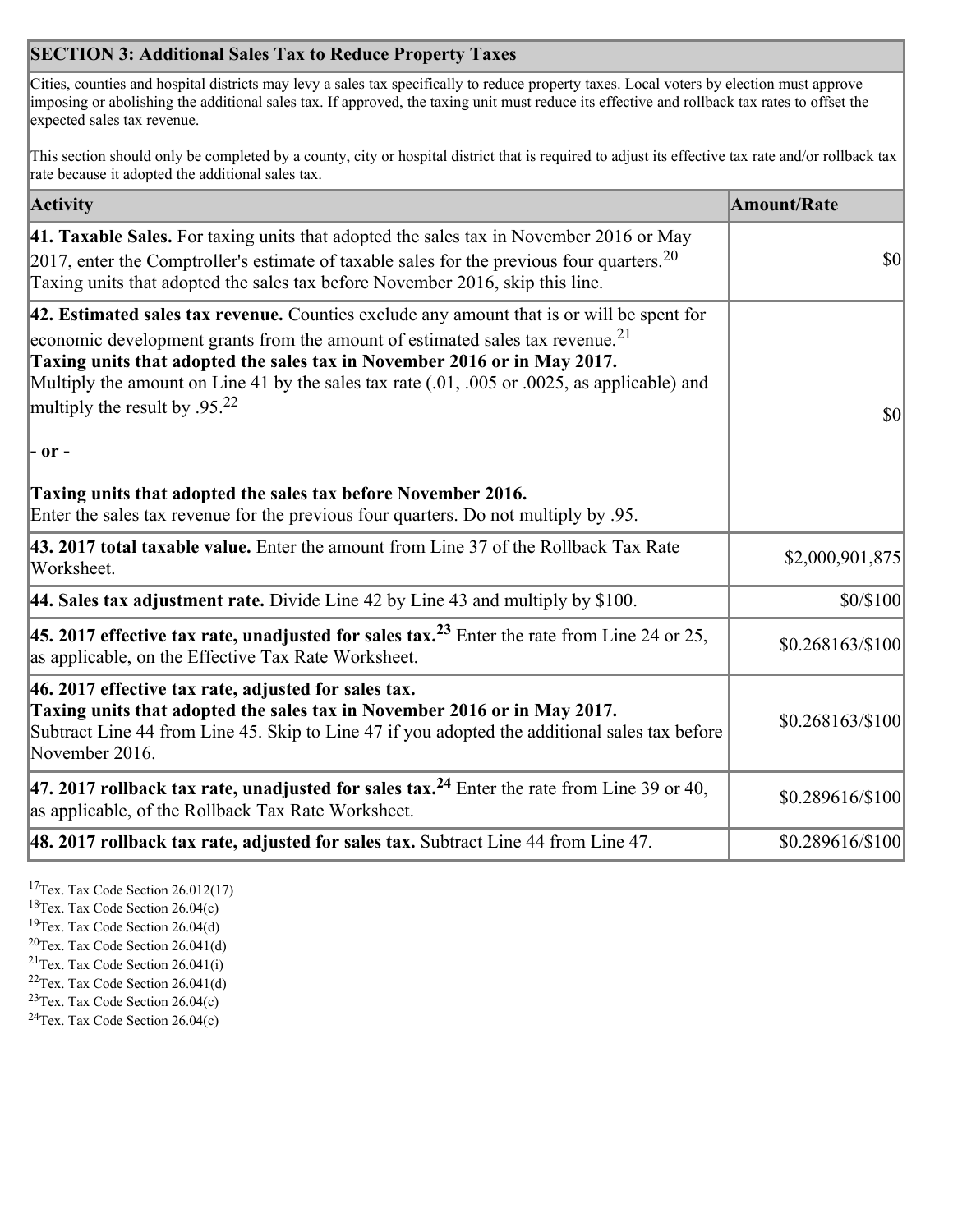## **SECTION 3: Additional Sales Tax to Reduce Property Taxes**

Cities, counties and hospital districts may levy a sales tax specifically to reduce property taxes. Local voters by election must approve imposing or abolishing the additional sales tax. If approved, the taxing unit must reduce its effective and rollback tax rates to offset the expected sales tax revenue.

This section should only be completed by a county, city or hospital district that is required to adjust its effective tax rate and/or rollback tax rate because it adopted the additional sales tax.

| <b>Activity</b>                                                                                                                                                                                                                                                                                                                                                                                                 | <b>Amount/Rate</b> |
|-----------------------------------------------------------------------------------------------------------------------------------------------------------------------------------------------------------------------------------------------------------------------------------------------------------------------------------------------------------------------------------------------------------------|--------------------|
| 41. Taxable Sales. For taxing units that adopted the sales tax in November 2016 or May<br>[2017, enter the Comptroller's estimate of taxable sales for the previous four quarters. <sup>20</sup><br>Taxing units that adopted the sales tax before November 2016, skip this line.                                                                                                                               | $\vert$ so $\vert$ |
| 42. Estimated sales tax revenue. Counties exclude any amount that is or will be spent for<br>economic development grants from the amount of estimated sales tax revenue. <sup>21</sup><br>Taxing units that adopted the sales tax in November 2016 or in May 2017.<br>Multiply the amount on Line 41 by the sales tax rate (.01, .005 or .0025, as applicable) and<br>multiply the result by .95. <sup>22</sup> | \$0                |
| $ -$ or $-$                                                                                                                                                                                                                                                                                                                                                                                                     |                    |
| Taxing units that adopted the sales tax before November 2016.<br>Enter the sales tax revenue for the previous four quarters. Do not multiply by .95.                                                                                                                                                                                                                                                            |                    |
| 43. 2017 total taxable value. Enter the amount from Line 37 of the Rollback Tax Rate<br>Worksheet.                                                                                                                                                                                                                                                                                                              | \$2,000,901,875    |
| 44. Sales tax adjustment rate. Divide Line 42 by Line 43 and multiply by $$100$ .                                                                                                                                                                                                                                                                                                                               | \$0/\$100          |
| 45. 2017 effective tax rate, unadjusted for sales tax. <sup>23</sup> Enter the rate from Line 24 or 25,<br>as applicable, on the Effective Tax Rate Worksheet.                                                                                                                                                                                                                                                  | \$0.268163/\$100   |
| 46. 2017 effective tax rate, adjusted for sales tax.<br>Taxing units that adopted the sales tax in November 2016 or in May 2017.<br>Subtract Line 44 from Line 45. Skip to Line 47 if you adopted the additional sales tax before<br>November 2016.                                                                                                                                                             | \$0.268163/\$100   |
| 47. 2017 rollback tax rate, unadjusted for sales tax. <sup>24</sup> Enter the rate from Line 39 or 40,<br>as applicable, of the Rollback Tax Rate Worksheet.                                                                                                                                                                                                                                                    | \$0.289616/\$100   |
| $ 48.2017$ rollback tax rate, adjusted for sales tax. Subtract Line 44 from Line 47.                                                                                                                                                                                                                                                                                                                            | \$0.289616/\$100   |

<sup>17</sup>Tex. Tax Code Section 26.012(17)

<sup>18</sup>Tex. Tax Code Section 26.04(c)

<sup>19</sup>Tex. Tax Code Section 26.04(d)

<sup>20</sup>Tex. Tax Code Section 26.041(d)

- $21$ Tex. Tax Code Section 26.041(i)
- <sup>22</sup>Tex. Tax Code Section 26.041(d)
- <sup>23</sup>Tex. Tax Code Section  $26.04(c)$

<sup>24</sup>Tex. Tax Code Section  $26.04(c)$